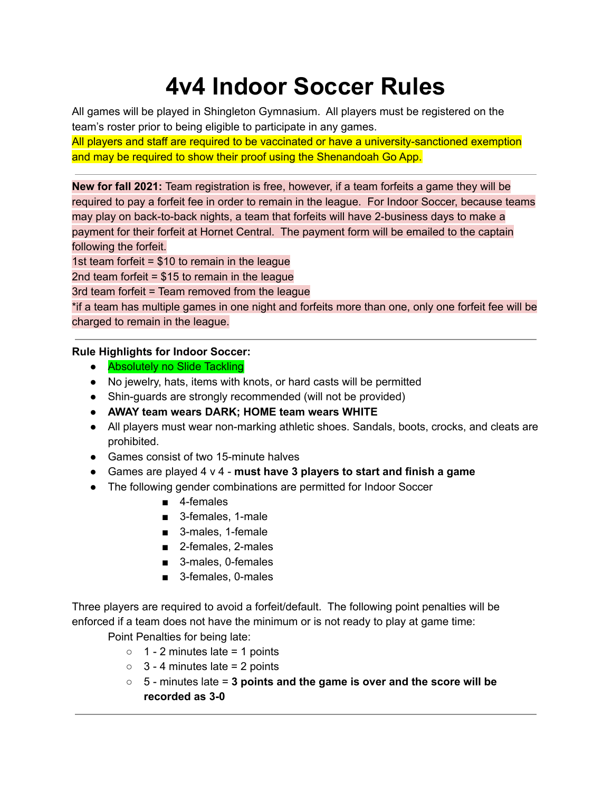## **4v4 Indoor Soccer Rules**

All games will be played in Shingleton Gymnasium. All players must be registered on the team's roster prior to being eligible to participate in any games.

All players and staff are required to be vaccinated or have a university-sanctioned exemption and may be required to show their proof using the Shenandoah Go App.

**New for fall 2021:** Team registration is free, however, if a team forfeits a game they will be required to pay a forfeit fee in order to remain in the league. For Indoor Soccer, because teams may play on back-to-back nights, a team that forfeits will have 2-business days to make a payment for their forfeit at Hornet Central. The payment form will be emailed to the captain following the forfeit.

1st team forfeit = \$10 to remain in the league

2nd team forfeit  $= $15$  to remain in the league

3rd team forfeit = Team removed from the league

\*if a team has multiple games in one night and forfeits more than one, only one forfeit fee will be charged to remain in the league.

## **Rule Highlights for Indoor Soccer:**

- **Absolutely no Slide Tackling**
- No jewelry, hats, items with knots, or hard casts will be permitted
- **●** Shin-guards are strongly recommended (will not be provided)
- **● AWAY team wears DARK; HOME team wears WHITE**
- All players must wear non-marking athletic shoes. Sandals, boots, crocks, and cleats are prohibited.
- Games consist of two 15-minute halves
- Games are played 4 v 4 **must have 3 players to start and finish a game**
- The following gender combinations are permitted for Indoor Soccer
	- 4-females
	- 3-females, 1-male
	- 3-males, 1-female
	- 2-females, 2-males
	- 3-males, 0-females
	- 3-females, 0-males

Three players are required to avoid a forfeit/default. The following point penalties will be enforced if a team does not have the minimum or is not ready to play at game time:

Point Penalties for being late:

- $\circ$  1 2 minutes late = 1 points
- $\circ$  3 4 minutes late = 2 points
- 5 minutes late = **3 points and the game is over and the score will be recorded as 3-0**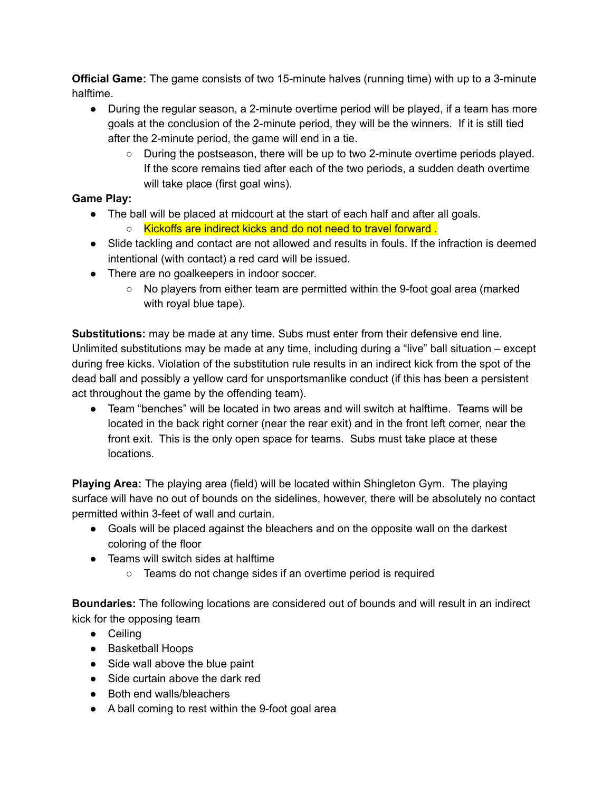**Official Game:** The game consists of two 15-minute halves (running time) with up to a 3-minute halftime.

- During the regular season, a 2-minute overtime period will be played, if a team has more goals at the conclusion of the 2-minute period, they will be the winners. If it is still tied after the 2-minute period, the game will end in a tie.
	- During the postseason, there will be up to two 2-minute overtime periods played. If the score remains tied after each of the two periods, a sudden death overtime will take place (first goal wins).

## **Game Play:**

- The ball will be placed at midcourt at the start of each half and after all goals.
	- Kickoffs are indirect kicks and do not need to travel forward.
- Slide tackling and contact are not allowed and results in fouls. If the infraction is deemed intentional (with contact) a red card will be issued.
- There are no goalkeepers in indoor soccer.
	- No players from either team are permitted within the 9-foot goal area (marked with royal blue tape).

**Substitutions:** may be made at any time. Subs must enter from their defensive end line. Unlimited substitutions may be made at any time, including during a "live" ball situation – except during free kicks. Violation of the substitution rule results in an indirect kick from the spot of the dead ball and possibly a yellow card for unsportsmanlike conduct (if this has been a persistent act throughout the game by the offending team).

● Team "benches" will be located in two areas and will switch at halftime. Teams will be located in the back right corner (near the rear exit) and in the front left corner, near the front exit. This is the only open space for teams. Subs must take place at these locations.

**Playing Area:** The playing area (field) will be located within Shingleton Gym. The playing surface will have no out of bounds on the sidelines, however, there will be absolutely no contact permitted within 3-feet of wall and curtain.

- Goals will be placed against the bleachers and on the opposite wall on the darkest coloring of the floor
- Teams will switch sides at halftime
	- Teams do not change sides if an overtime period is required

**Boundaries:** The following locations are considered out of bounds and will result in an indirect kick for the opposing team

- Ceiling
- Basketball Hoops
- Side wall above the blue paint
- Side curtain above the dark red
- Both end walls/bleachers
- A ball coming to rest within the 9-foot goal area